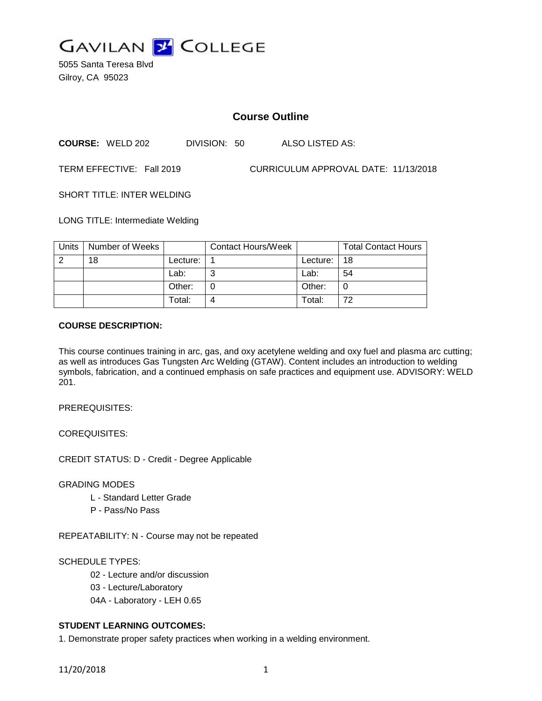

5055 Santa Teresa Blvd Gilroy, CA 95023

# **Course Outline**

**COURSE:** WELD 202 DIVISION: 50 ALSO LISTED AS:

TERM EFFECTIVE: Fall 2019 CURRICULUM APPROVAL DATE: 11/13/2018

SHORT TITLE: INTER WELDING

LONG TITLE: Intermediate Welding

| Units | Number of Weeks |          | <b>Contact Hours/Week</b> |             | <b>Total Contact Hours</b> |
|-------|-----------------|----------|---------------------------|-------------|----------------------------|
|       | 18              | Lecture: |                           | Lecture: 18 |                            |
|       |                 | Lab:     | ⌒                         | Lab:        | 54                         |
|       |                 | Other:   |                           | Other:      |                            |
|       |                 | Total:   |                           | Total:      | 72                         |

#### **COURSE DESCRIPTION:**

This course continues training in arc, gas, and oxy acetylene welding and oxy fuel and plasma arc cutting; as well as introduces Gas Tungsten Arc Welding (GTAW). Content includes an introduction to welding symbols, fabrication, and a continued emphasis on safe practices and equipment use. ADVISORY: WELD 201.

PREREQUISITES:

COREQUISITES:

CREDIT STATUS: D - Credit - Degree Applicable

GRADING MODES

- L Standard Letter Grade
- P Pass/No Pass

REPEATABILITY: N - Course may not be repeated

SCHEDULE TYPES:

02 - Lecture and/or discussion

03 - Lecture/Laboratory

04A - Laboratory - LEH 0.65

## **STUDENT LEARNING OUTCOMES:**

1. Demonstrate proper safety practices when working in a welding environment.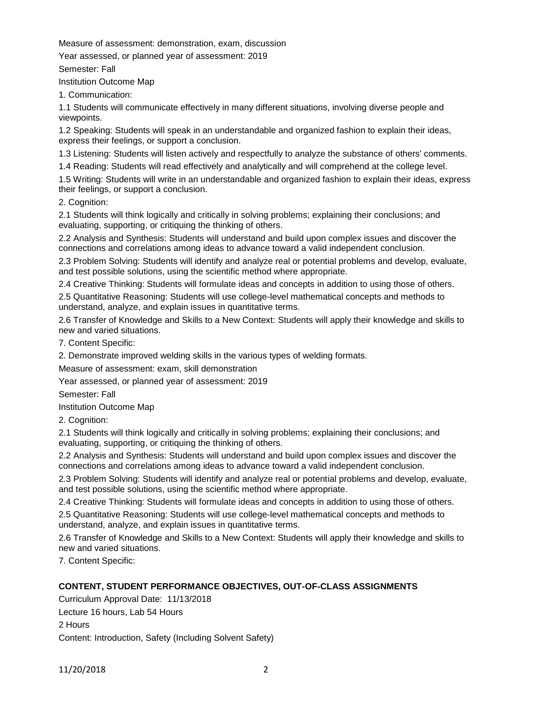Measure of assessment: demonstration, exam, discussion

Year assessed, or planned year of assessment: 2019

Semester: Fall

Institution Outcome Map

1. Communication:

1.1 Students will communicate effectively in many different situations, involving diverse people and viewpoints.

1.2 Speaking: Students will speak in an understandable and organized fashion to explain their ideas, express their feelings, or support a conclusion.

1.3 Listening: Students will listen actively and respectfully to analyze the substance of others' comments.

1.4 Reading: Students will read effectively and analytically and will comprehend at the college level.

1.5 Writing: Students will write in an understandable and organized fashion to explain their ideas, express their feelings, or support a conclusion.

2. Cognition:

2.1 Students will think logically and critically in solving problems; explaining their conclusions; and evaluating, supporting, or critiquing the thinking of others.

2.2 Analysis and Synthesis: Students will understand and build upon complex issues and discover the connections and correlations among ideas to advance toward a valid independent conclusion.

2.3 Problem Solving: Students will identify and analyze real or potential problems and develop, evaluate, and test possible solutions, using the scientific method where appropriate.

2.4 Creative Thinking: Students will formulate ideas and concepts in addition to using those of others.

2.5 Quantitative Reasoning: Students will use college-level mathematical concepts and methods to understand, analyze, and explain issues in quantitative terms.

2.6 Transfer of Knowledge and Skills to a New Context: Students will apply their knowledge and skills to new and varied situations.

7. Content Specific:

2. Demonstrate improved welding skills in the various types of welding formats.

Measure of assessment: exam, skill demonstration

Year assessed, or planned year of assessment: 2019

Semester: Fall

Institution Outcome Map

2. Cognition:

2.1 Students will think logically and critically in solving problems; explaining their conclusions; and evaluating, supporting, or critiquing the thinking of others.

2.2 Analysis and Synthesis: Students will understand and build upon complex issues and discover the connections and correlations among ideas to advance toward a valid independent conclusion.

2.3 Problem Solving: Students will identify and analyze real or potential problems and develop, evaluate, and test possible solutions, using the scientific method where appropriate.

2.4 Creative Thinking: Students will formulate ideas and concepts in addition to using those of others.

2.5 Quantitative Reasoning: Students will use college-level mathematical concepts and methods to understand, analyze, and explain issues in quantitative terms.

2.6 Transfer of Knowledge and Skills to a New Context: Students will apply their knowledge and skills to new and varied situations.

7. Content Specific:

## **CONTENT, STUDENT PERFORMANCE OBJECTIVES, OUT-OF-CLASS ASSIGNMENTS**

Curriculum Approval Date: 11/13/2018 Lecture 16 hours, Lab 54 Hours 2 Hours Content: Introduction, Safety (Including Solvent Safety)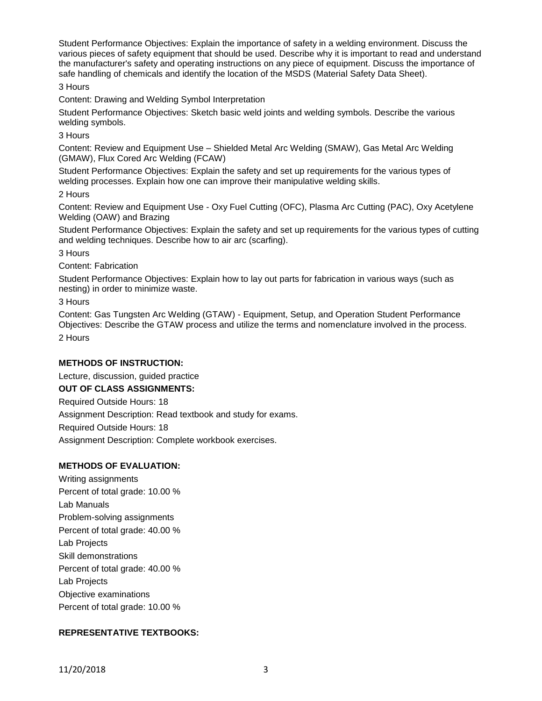Student Performance Objectives: Explain the importance of safety in a welding environment. Discuss the various pieces of safety equipment that should be used. Describe why it is important to read and understand the manufacturer's safety and operating instructions on any piece of equipment. Discuss the importance of safe handling of chemicals and identify the location of the MSDS (Material Safety Data Sheet).

3 Hours

Content: Drawing and Welding Symbol Interpretation

Student Performance Objectives: Sketch basic weld joints and welding symbols. Describe the various welding symbols.

3 Hours

Content: Review and Equipment Use – Shielded Metal Arc Welding (SMAW), Gas Metal Arc Welding (GMAW), Flux Cored Arc Welding (FCAW)

Student Performance Objectives: Explain the safety and set up requirements for the various types of welding processes. Explain how one can improve their manipulative welding skills.

2 Hours

Content: Review and Equipment Use - Oxy Fuel Cutting (OFC), Plasma Arc Cutting (PAC), Oxy Acetylene Welding (OAW) and Brazing

Student Performance Objectives: Explain the safety and set up requirements for the various types of cutting and welding techniques. Describe how to air arc (scarfing).

3 Hours

Content: Fabrication

Student Performance Objectives: Explain how to lay out parts for fabrication in various ways (such as nesting) in order to minimize waste.

3 Hours

Content: Gas Tungsten Arc Welding (GTAW) - Equipment, Setup, and Operation Student Performance Objectives: Describe the GTAW process and utilize the terms and nomenclature involved in the process. 2 Hours

### **METHODS OF INSTRUCTION:**

Lecture, discussion, guided practice

### **OUT OF CLASS ASSIGNMENTS:**

Required Outside Hours: 18

Assignment Description: Read textbook and study for exams.

Required Outside Hours: 18

Assignment Description: Complete workbook exercises.

### **METHODS OF EVALUATION:**

Writing assignments Percent of total grade: 10.00 % Lab Manuals Problem-solving assignments Percent of total grade: 40.00 % Lab Projects Skill demonstrations Percent of total grade: 40.00 % Lab Projects Objective examinations Percent of total grade: 10.00 %

### **REPRESENTATIVE TEXTBOOKS:**